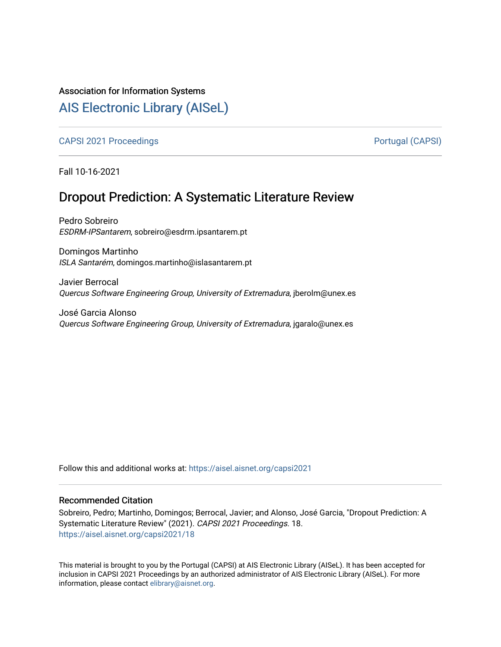# Association for Information Systems

# [AIS Electronic Library \(AISeL\)](https://aisel.aisnet.org/)

[CAPSI 2021 Proceedings](https://aisel.aisnet.org/capsi2021) **Portugal (CAPSI)** Portugal (CAPSI)

Fall 10-16-2021

# Dropout Prediction: A Systematic Literature Review

Pedro Sobreiro ESDRM-IPSantarem, sobreiro@esdrm.ipsantarem.pt

Domingos Martinho ISLA Santarém, domingos.martinho@islasantarem.pt

Javier Berrocal Quercus Software Engineering Group, University of Extremadura, jberolm@unex.es

José Garcia Alonso Quercus Software Engineering Group, University of Extremadura, jgaralo@unex.es

Follow this and additional works at: [https://aisel.aisnet.org/capsi2021](https://aisel.aisnet.org/capsi2021?utm_source=aisel.aisnet.org%2Fcapsi2021%2F18&utm_medium=PDF&utm_campaign=PDFCoverPages)

## Recommended Citation

Sobreiro, Pedro; Martinho, Domingos; Berrocal, Javier; and Alonso, José Garcia, "Dropout Prediction: A Systematic Literature Review" (2021). CAPSI 2021 Proceedings. 18. [https://aisel.aisnet.org/capsi2021/18](https://aisel.aisnet.org/capsi2021/18?utm_source=aisel.aisnet.org%2Fcapsi2021%2F18&utm_medium=PDF&utm_campaign=PDFCoverPages) 

This material is brought to you by the Portugal (CAPSI) at AIS Electronic Library (AISeL). It has been accepted for inclusion in CAPSI 2021 Proceedings by an authorized administrator of AIS Electronic Library (AISeL). For more information, please contact [elibrary@aisnet.org.](mailto:elibrary@aisnet.org%3E)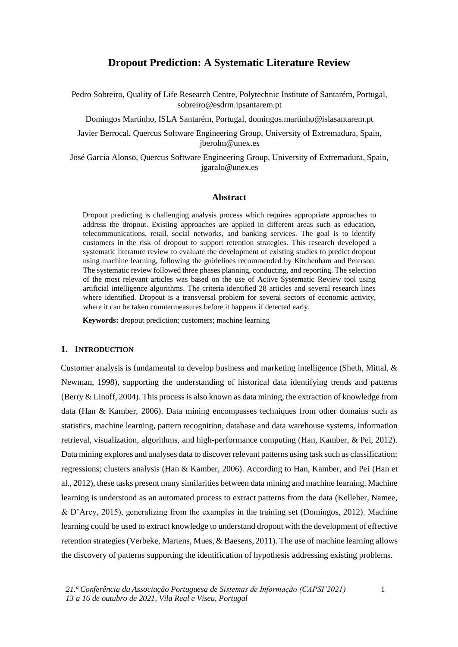# **Dropout Prediction: A Systematic Literature Review**

Pedro Sobreiro, Quality of Life Research Centre, Polytechnic Institute of Santarém, Portugal, sobreiro@esdrm.ipsantarem.pt

Domingos Martinho, ISLA Santarém, Portugal, domingos.martinho@islasantarem.pt

Javier Berrocal, Quercus Software Engineering Group, University of Extremadura, Spain, jberolm@unex.es

José Garcia Alonso, Quercus Software Engineering Group, University of Extremadura, Spain, jgaralo@unex.es

### **Abstract**

Dropout predicting is challenging analysis process which requires appropriate approaches to address the dropout. Existing approaches are applied in different areas such as education, telecommunications, retail, social networks, and banking services. The goal is to identify customers in the risk of dropout to support retention strategies. This research developed a systematic literature review to evaluate the development of existing studies to predict dropout using machine learning, following the guidelines recommended by Kitchenham and Peterson. The systematic review followed three phases planning, conducting, and reporting. The selection of the most relevant articles was based on the use of Active Systematic Review tool using artificial intelligence algorithms. The criteria identified 28 articles and several research lines where identified. Dropout is a transversal problem for several sectors of economic activity, where it can be taken countermeasures before it happens if detected early.

**Keywords:** dropout prediction; customers; machine learning

## **1. INTRODUCTION**

Customer analysis is fundamental to develop business and marketing intelligence (Sheth, Mittal, & Newman, 1998), supporting the understanding of historical data identifying trends and patterns (Berry & Linoff, 2004). This process is also known as data mining, the extraction of knowledge from data (Han & Kamber, 2006). Data mining encompasses techniques from other domains such as statistics, machine learning, pattern recognition, database and data warehouse systems, information retrieval, visualization, algorithms, and high-performance computing (Han, Kamber, & Pei, 2012). Data mining explores and analyses data to discover relevant patterns using task such as classification; regressions; clusters analysis (Han & Kamber, 2006). According to Han, Kamber, and Pei (Han et al., 2012), these tasks present many similarities between data mining and machine learning. Machine learning is understood as an automated process to extract patterns from the data (Kelleher, Namee, & D'Arcy, 2015), generalizing from the examples in the training set (Domingos, 2012). Machine learning could be used to extract knowledge to understand dropout with the development of effective retention strategies (Verbeke, Martens, Mues, & Baesens, 2011). The use of machine learning allows the discovery of patterns supporting the identification of hypothesis addressing existing problems.

1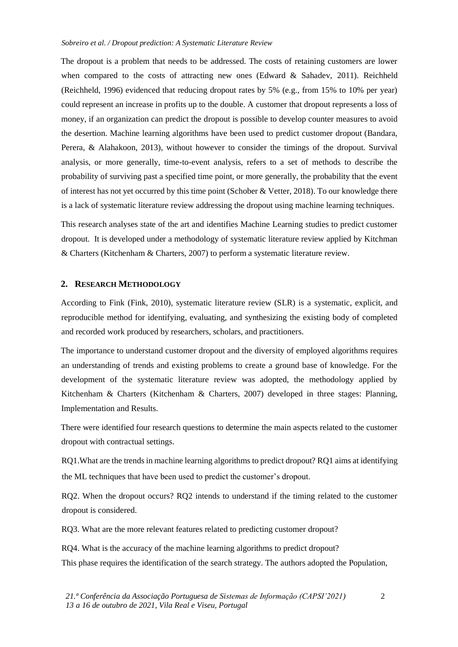The dropout is a problem that needs to be addressed. The costs of retaining customers are lower when compared to the costs of attracting new ones (Edward & Sahadev, 2011). Reichheld (Reichheld, 1996) evidenced that reducing dropout rates by 5% (e.g., from 15% to 10% per year) could represent an increase in profits up to the double. A customer that dropout represents a loss of money, if an organization can predict the dropout is possible to develop counter measures to avoid the desertion. Machine learning algorithms have been used to predict customer dropout (Bandara, Perera, & Alahakoon, 2013), without however to consider the timings of the dropout. Survival analysis, or more generally, time-to-event analysis, refers to a set of methods to describe the probability of surviving past a specified time point, or more generally, the probability that the event of interest has not yet occurred by this time point (Schober & Vetter, 2018). To our knowledge there is a lack of systematic literature review addressing the dropout using machine learning techniques.

This research analyses state of the art and identifies Machine Learning studies to predict customer dropout. It is developed under a methodology of systematic literature review applied by Kitchman & Charters (Kitchenham & Charters, 2007) to perform a systematic literature review.

## **2. RESEARCH METHODOLOGY**

According to Fink (Fink, 2010), systematic literature review (SLR) is a systematic, explicit, and reproducible method for identifying, evaluating, and synthesizing the existing body of completed and recorded work produced by researchers, scholars, and practitioners.

The importance to understand customer dropout and the diversity of employed algorithms requires an understanding of trends and existing problems to create a ground base of knowledge. For the development of the systematic literature review was adopted, the methodology applied by Kitchenham & Charters (Kitchenham & Charters, 2007) developed in three stages: Planning, Implementation and Results.

There were identified four research questions to determine the main aspects related to the customer dropout with contractual settings.

RQ1.What are the trends in machine learning algorithms to predict dropout? RQ1 aims at identifying the ML techniques that have been used to predict the customer's dropout.

RQ2. When the dropout occurs? RQ2 intends to understand if the timing related to the customer dropout is considered.

RQ3. What are the more relevant features related to predicting customer dropout?

RQ4. What is the accuracy of the machine learning algorithms to predict dropout? This phase requires the identification of the search strategy. The authors adopted the Population,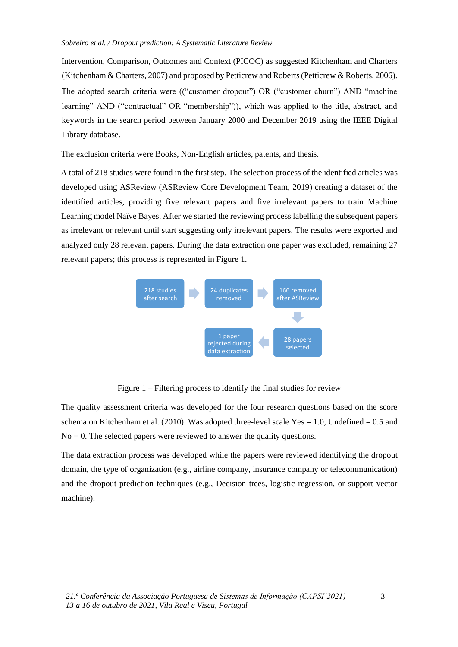Intervention, Comparison, Outcomes and Context (PICOC) as suggested Kitchenham and Charters (Kitchenham & Charters, 2007) and proposed by Petticrew and Roberts (Petticrew & Roberts, 2006). The adopted search criteria were (("customer dropout") OR ("customer churn") AND "machine learning" AND ("contractual" OR "membership")), which was applied to the title, abstract, and keywords in the search period between January 2000 and December 2019 using the IEEE Digital Library database.

The exclusion criteria were Books, Non-English articles, patents, and thesis.

A total of 218 studies were found in the first step. The selection process of the identified articles was developed using ASReview (ASReview Core Development Team, 2019) creating a dataset of the identified articles, providing five relevant papers and five irrelevant papers to train Machine Learning model Naïve Bayes. After we started the reviewing process labelling the subsequent papers as irrelevant or relevant until start suggesting only irrelevant papers. The results were exported and analyzed only 28 relevant papers. During the data extraction one paper was excluded, remaining 27 relevant papers; this process is represented in Figure 1.



Figure 1 – Filtering process to identify the final studies for review

The quality assessment criteria was developed for the four research questions based on the score schema on Kitchenham et al. (2010). Was adopted three-level scale  $Yes = 1.0$ , Undefined  $= 0.5$  and  $No = 0$ . The selected papers were reviewed to answer the quality questions.

The data extraction process was developed while the papers were reviewed identifying the dropout domain, the type of organization (e.g., airline company, insurance company or telecommunication) and the dropout prediction techniques (e.g., Decision trees, logistic regression, or support vector machine).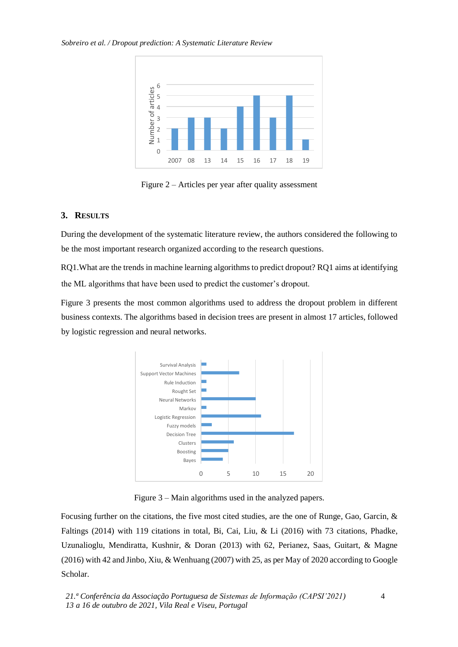

Figure 2 – Articles per year after quality assessment

# **3. RESULTS**

During the development of the systematic literature review, the authors considered the following to be the most important research organized according to the research questions.

RQ1.What are the trends in machine learning algorithms to predict dropout? RQ1 aims at identifying the ML algorithms that have been used to predict the customer's dropout.

Figure 3 presents the most common algorithms used to address the dropout problem in different business contexts. The algorithms based in decision trees are present in almost 17 articles, followed by logistic regression and neural networks.



Figure 3 – Main algorithms used in the analyzed papers.

Focusing further on the citations, the five most cited studies, are the one of Runge, Gao, Garcin, & Faltings (2014) with 119 citations in total, Bi, Cai, Liu, & Li (2016) with 73 citations, Phadke, Uzunalioglu, Mendiratta, Kushnir, & Doran (2013) with 62, Perianez, Saas, Guitart, & Magne (2016) with 42 and Jinbo, Xiu, & Wenhuang (2007) with 25, as per May of 2020 according to Google Scholar.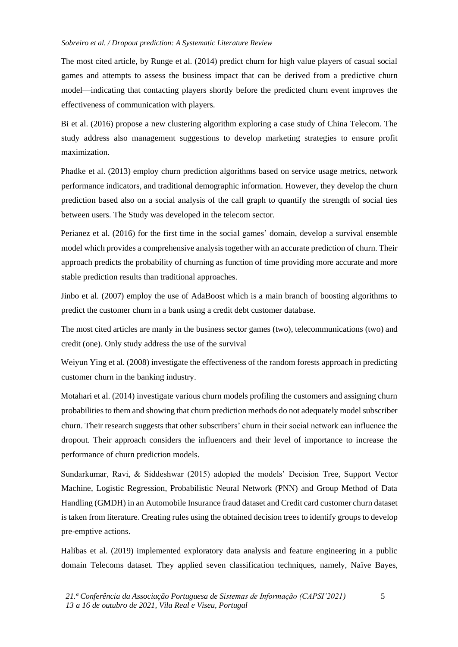The most cited article, by Runge et al. (2014) predict churn for high value players of casual social games and attempts to assess the business impact that can be derived from a predictive churn model—indicating that contacting players shortly before the predicted churn event improves the effectiveness of communication with players.

Bi et al. (2016) propose a new clustering algorithm exploring a case study of China Telecom. The study address also management suggestions to develop marketing strategies to ensure profit maximization.

Phadke et al. (2013) employ churn prediction algorithms based on service usage metrics, network performance indicators, and traditional demographic information. However, they develop the churn prediction based also on a social analysis of the call graph to quantify the strength of social ties between users. The Study was developed in the telecom sector.

Perianez et al. (2016) for the first time in the social games' domain, develop a survival ensemble model which provides a comprehensive analysis together with an accurate prediction of churn. Their approach predicts the probability of churning as function of time providing more accurate and more stable prediction results than traditional approaches.

Jinbo et al. (2007) employ the use of AdaBoost which is a main branch of boosting algorithms to predict the customer churn in a bank using a credit debt customer database.

The most cited articles are manly in the business sector games (two), telecommunications (two) and credit (one). Only study address the use of the survival

Weiyun Ying et al. (2008) investigate the effectiveness of the random forests approach in predicting customer churn in the banking industry.

Motahari et al. (2014) investigate various churn models profiling the customers and assigning churn probabilities to them and showing that churn prediction methods do not adequately model subscriber churn. Their research suggests that other subscribers' churn in their social network can influence the dropout. Their approach considers the influencers and their level of importance to increase the performance of churn prediction models.

Sundarkumar, Ravi, & Siddeshwar (2015) adopted the models' Decision Tree, Support Vector Machine, Logistic Regression, Probabilistic Neural Network (PNN) and Group Method of Data Handling (GMDH) in an Automobile Insurance fraud dataset and Credit card customer churn dataset is taken from literature. Creating rules using the obtained decision trees to identify groups to develop pre-emptive actions.

Halibas et al. (2019) implemented exploratory data analysis and feature engineering in a public domain Telecoms dataset. They applied seven classification techniques, namely, Naïve Bayes,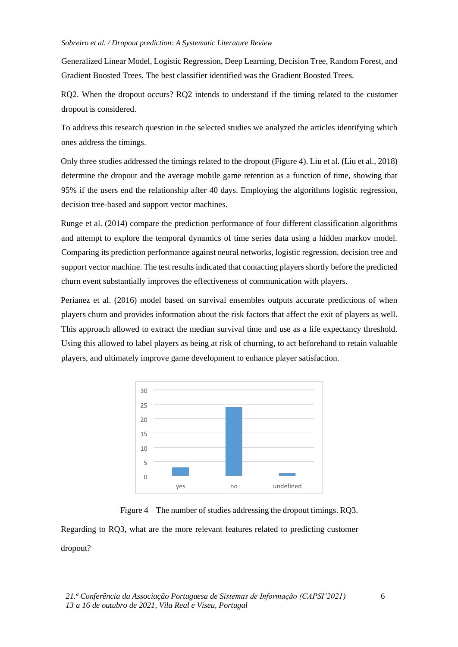Generalized Linear Model, Logistic Regression, Deep Learning, Decision Tree, Random Forest, and Gradient Boosted Trees. The best classifier identified was the Gradient Boosted Trees.

RQ2. When the dropout occurs? RQ2 intends to understand if the timing related to the customer dropout is considered.

To address this research question in the selected studies we analyzed the articles identifying which ones address the timings.

Only three studies addressed the timings related to the dropout (Figure 4). Liu et al. (Liu et al., 2018) determine the dropout and the average mobile game retention as a function of time, showing that 95% if the users end the relationship after 40 days. Employing the algorithms logistic regression, decision tree-based and support vector machines.

Runge et al. (2014) compare the prediction performance of four different classification algorithms and attempt to explore the temporal dynamics of time series data using a hidden markov model. Comparing its prediction performance against neural networks, logistic regression, decision tree and support vector machine. The test results indicated that contacting players shortly before the predicted churn event substantially improves the effectiveness of communication with players.

Perianez et al. (2016) model based on survival ensembles outputs accurate predictions of when players churn and provides information about the risk factors that affect the exit of players as well. This approach allowed to extract the median survival time and use as a life expectancy threshold. Using this allowed to label players as being at risk of churning, to act beforehand to retain valuable players, and ultimately improve game development to enhance player satisfaction.





Regarding to RQ3, what are the more relevant features related to predicting customer dropout?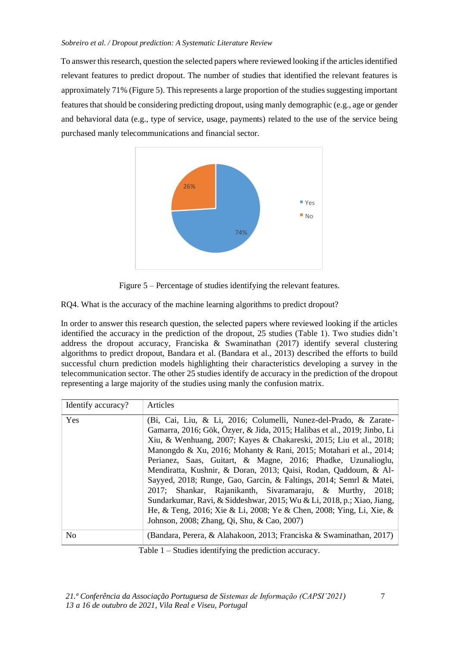To answer this research, question the selected papers where reviewed looking if the articles identified relevant features to predict dropout. The number of studies that identified the relevant features is approximately 71% (Figure 5). This represents a large proportion of the studies suggesting important features that should be considering predicting dropout, using manly demographic (e.g., age or gender and behavioral data (e.g., type of service, usage, payments) related to the use of the service being purchased manly telecommunications and financial sector.



Figure 5 – Percentage of studies identifying the relevant features.

RQ4. What is the accuracy of the machine learning algorithms to predict dropout?

In order to answer this research question, the selected papers where reviewed looking if the articles identified the accuracy in the prediction of the dropout, 25 studies (Table 1). Two studies didn't address the dropout accuracy, Franciska & Swaminathan (2017) identify several clustering algorithms to predict dropout, Bandara et al. (Bandara et al., 2013) described the efforts to build successful churn prediction models highlighting their characteristics developing a survey in the telecommunication sector. The other 25 studies identify de accuracy in the prediction of the dropout representing a large majority of the studies using manly the confusion matrix.

| Identify accuracy? | Articles                                                                                                                                                                                                                                                                                                                                                                                                                                                                                                                                                                                                                                                                                                                                                       |
|--------------------|----------------------------------------------------------------------------------------------------------------------------------------------------------------------------------------------------------------------------------------------------------------------------------------------------------------------------------------------------------------------------------------------------------------------------------------------------------------------------------------------------------------------------------------------------------------------------------------------------------------------------------------------------------------------------------------------------------------------------------------------------------------|
| Yes                | (Bi, Cai, Liu, & Li, 2016; Columelli, Nunez-del-Prado, & Zarate-<br>Gamarra, 2016; Gök, Özyer, & Jida, 2015; Halibas et al., 2019; Jinbo, Li<br>Xiu, & Wenhuang, 2007; Kayes & Chakareski, 2015; Liu et al., 2018;<br>Manongdo & Xu, 2016; Mohanty & Rani, 2015; Motahari et al., 2014;<br>Perianez, Saas, Guitart, & Magne, 2016; Phadke, Uzunalioglu,<br>Mendiratta, Kushnir, & Doran, 2013; Qaisi, Rodan, Qaddoum, & Al-<br>Sayyed, 2018; Runge, Gao, Garcin, & Faltings, 2014; Semrl & Matei,<br>2017; Shankar, Rajanikanth, Sivaramaraju, & Murthy, 2018;<br>Sundarkumar, Ravi, & Siddeshwar, 2015; Wu & Li, 2018, p.; Xiao, Jiang,<br>He, & Teng, 2016; Xie & Li, 2008; Ye & Chen, 2008; Ying, Li, Xie, &<br>Johnson, 2008; Zhang, Qi, Shu, & Cao, 2007) |
| N <sub>0</sub>     | (Bandara, Perera, & Alahakoon, 2013; Franciska & Swaminathan, 2017)                                                                                                                                                                                                                                                                                                                                                                                                                                                                                                                                                                                                                                                                                            |

Table 1 – Studies identifying the prediction accuracy.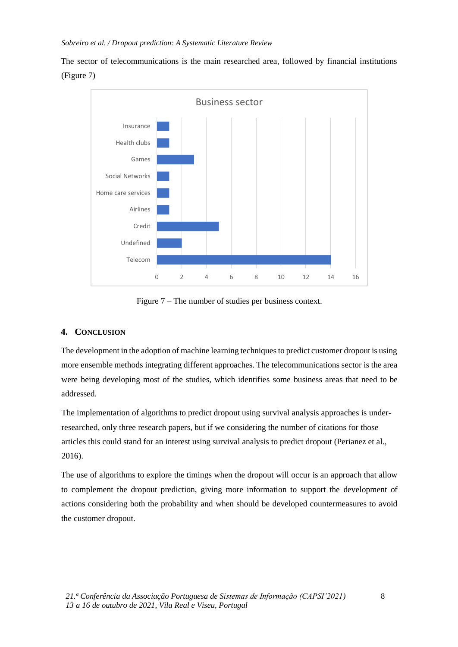The sector of telecommunications is the main researched area, followed by financial institutions (Figure 7)



Figure 7 – The number of studies per business context.

# **4. CONCLUSION**

The development in the adoption of machine learning techniques to predict customer dropout is using more ensemble methods integrating different approaches. The telecommunications sector is the area were being developing most of the studies, which identifies some business areas that need to be addressed.

The implementation of algorithms to predict dropout using survival analysis approaches is underresearched, only three research papers, but if we considering the number of citations for those articles this could stand for an interest using survival analysis to predict dropout (Perianez et al., 2016).

The use of algorithms to explore the timings when the dropout will occur is an approach that allow to complement the dropout prediction, giving more information to support the development of actions considering both the probability and when should be developed countermeasures to avoid the customer dropout.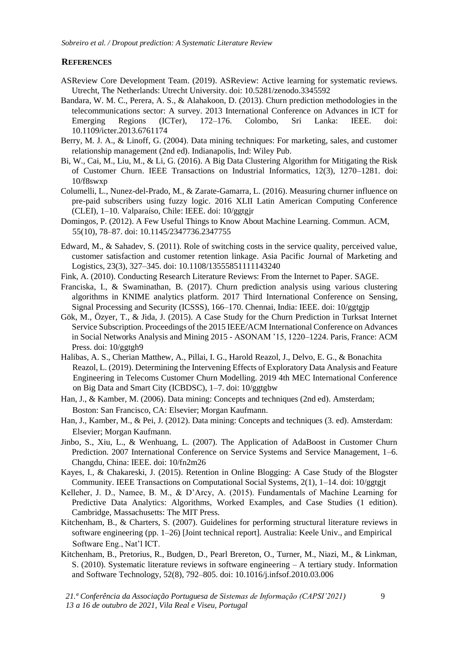## **REFERENCES**

- ASReview Core Development Team. (2019). ASReview: Active learning for systematic reviews. Utrecht, The Netherlands: Utrecht University. doi: 10.5281/zenodo.3345592
- Bandara, W. M. C., Perera, A. S., & Alahakoon, D. (2013). Churn prediction methodologies in the telecommunications sector: A survey. 2013 International Conference on Advances in ICT for Emerging Regions (ICTer), 172–176. Colombo, Sri Lanka: IEEE. doi: 10.1109/icter.2013.6761174
- Berry, M. J. A., & Linoff, G. (2004). Data mining techniques: For marketing, sales, and customer relationship management (2nd ed). Indianapolis, Ind: Wiley Pub.
- Bi, W., Cai, M., Liu, M., & Li, G. (2016). A Big Data Clustering Algorithm for Mitigating the Risk of Customer Churn. IEEE Transactions on Industrial Informatics, 12(3), 1270–1281. doi: 10/f8swxp
- Columelli, L., Nunez-del-Prado, M., & Zarate-Gamarra, L. (2016). Measuring churner influence on pre-paid subscribers using fuzzy logic. 2016 XLII Latin American Computing Conference (CLEI), 1–10. Valparaíso, Chile: IEEE. doi: 10/ggtgjr
- Domingos, P. (2012). A Few Useful Things to Know About Machine Learning. Commun. ACM, 55(10), 78–87. doi: 10.1145/2347736.2347755
- Edward, M., & Sahadev, S. (2011). Role of switching costs in the service quality, perceived value, customer satisfaction and customer retention linkage. Asia Pacific Journal of Marketing and Logistics, 23(3), 327–345. doi: 10.1108/13555851111143240
- Fink, A. (2010). Conducting Research Literature Reviews: From the Internet to Paper. SAGE.
- Franciska, I., & Swaminathan, B. (2017). Churn prediction analysis using various clustering algorithms in KNIME analytics platform. 2017 Third International Conference on Sensing, Signal Processing and Security (ICSSS), 166–170. Chennai, India: IEEE. doi: 10/ggtgjp
- Gök, M., Özyer, T., & Jida, J. (2015). A Case Study for the Churn Prediction in Turksat Internet Service Subscription. Proceedings of the 2015 IEEE/ACM International Conference on Advances in Social Networks Analysis and Mining 2015 - ASONAM '15, 1220–1224. Paris, France: ACM Press. doi: 10/ggtgh9
- Halibas, A. S., Cherian Matthew, A., Pillai, I. G., Harold Reazol, J., Delvo, E. G., & Bonachita Reazol, L. (2019). Determining the Intervening Effects of Exploratory Data Analysis and Feature Engineering in Telecoms Customer Churn Modelling. 2019 4th MEC International Conference on Big Data and Smart City (ICBDSC), 1–7. doi: 10/ggtgbw
- Han, J., & Kamber, M. (2006). Data mining: Concepts and techniques (2nd ed). Amsterdam; Boston: San Francisco, CA: Elsevier; Morgan Kaufmann.
- Han, J., Kamber, M., & Pei, J. (2012). Data mining: Concepts and techniques (3. ed). Amsterdam: Elsevier; Morgan Kaufmann.
- Jinbo, S., Xiu, L., & Wenhuang, L. (2007). The Application of AdaBoost in Customer Churn Prediction. 2007 International Conference on Service Systems and Service Management, 1–6. Changdu, China: IEEE. doi: 10/fn2m26
- Kayes, I., & Chakareski, J. (2015). Retention in Online Blogging: A Case Study of the Blogster Community. IEEE Transactions on Computational Social Systems, 2(1), 1–14. doi: 10/ggtgjt
- Kelleher, J. D., Namee, B. M., & D'Arcy, A. (2015). Fundamentals of Machine Learning for Predictive Data Analytics: Algorithms, Worked Examples, and Case Studies (1 edition). Cambridge, Massachusetts: The MIT Press.
- Kitchenham, B., & Charters, S. (2007). Guidelines for performing structural literature reviews in software engineering (pp. 1–26) [Joint technical report]. Australia: Keele Univ., and Empirical Software Eng., Nat'l ICT.
- Kitchenham, B., Pretorius, R., Budgen, D., Pearl Brereton, O., Turner, M., Niazi, M., & Linkman, S. (2010). Systematic literature reviews in software engineering – A tertiary study. Information and Software Technology, 52(8), 792–805. doi: 10.1016/j.infsof.2010.03.006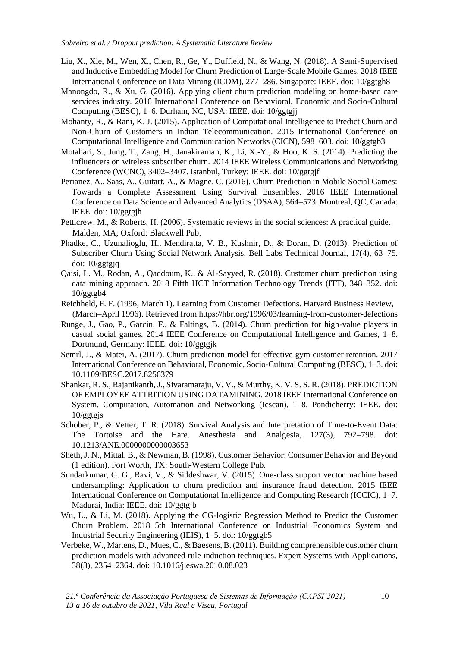- Liu, X., Xie, M., Wen, X., Chen, R., Ge, Y., Duffield, N., & Wang, N. (2018). A Semi-Supervised and Inductive Embedding Model for Churn Prediction of Large-Scale Mobile Games. 2018 IEEE International Conference on Data Mining (ICDM), 277–286. Singapore: IEEE. doi: 10/ggtgh8
- Manongdo, R., & Xu, G. (2016). Applying client churn prediction modeling on home-based care services industry. 2016 International Conference on Behavioral, Economic and Socio-Cultural Computing (BESC), 1–6. Durham, NC, USA: IEEE. doi: 10/ggtgjj
- Mohanty, R., & Rani, K. J. (2015). Application of Computational Intelligence to Predict Churn and Non-Churn of Customers in Indian Telecommunication. 2015 International Conference on Computational Intelligence and Communication Networks (CICN), 598–603. doi: 10/ggtgb3
- Motahari, S., Jung, T., Zang, H., Janakiraman, K., Li, X.-Y., & Hoo, K. S. (2014). Predicting the influencers on wireless subscriber churn. 2014 IEEE Wireless Communications and Networking Conference (WCNC), 3402–3407. Istanbul, Turkey: IEEE. doi: 10/ggtgjf
- Perianez, A., Saas, A., Guitart, A., & Magne, C. (2016). Churn Prediction in Mobile Social Games: Towards a Complete Assessment Using Survival Ensembles. 2016 IEEE International Conference on Data Science and Advanced Analytics (DSAA), 564–573. Montreal, QC, Canada: IEEE. doi: 10/ggtgjh
- Petticrew, M., & Roberts, H. (2006). Systematic reviews in the social sciences: A practical guide. Malden, MA; Oxford: Blackwell Pub.
- Phadke, C., Uzunalioglu, H., Mendiratta, V. B., Kushnir, D., & Doran, D. (2013). Prediction of Subscriber Churn Using Social Network Analysis. Bell Labs Technical Journal, 17(4), 63–75. doi: 10/ggtgjq
- Qaisi, L. M., Rodan, A., Qaddoum, K., & Al-Sayyed, R. (2018). Customer churn prediction using data mining approach. 2018 Fifth HCT Information Technology Trends (ITT), 348–352. doi:  $10$ /ggtgb4
- Reichheld, F. F. (1996, March 1). Learning from Customer Defections. Harvard Business Review, (March–April 1996). Retrieved from https://hbr.org/1996/03/learning-from-customer-defections
- Runge, J., Gao, P., Garcin, F., & Faltings, B. (2014). Churn prediction for high-value players in casual social games. 2014 IEEE Conference on Computational Intelligence and Games, 1–8. Dortmund, Germany: IEEE. doi: 10/ggtgjk
- Semrl, J., & Matei, A. (2017). Churn prediction model for effective gym customer retention. 2017 International Conference on Behavioral, Economic, Socio-Cultural Computing (BESC), 1–3. doi: 10.1109/BESC.2017.8256379
- Shankar, R. S., Rajanikanth, J., Sivaramaraju, V. V., & Murthy, K. V. S. S. R. (2018). PREDICTION OF EMPLOYEE ATTRITION USING DATAMINING. 2018 IEEE International Conference on System, Computation, Automation and Networking (Icscan), 1–8. Pondicherry: IEEE. doi: 10/ggtgjs
- Schober, P., & Vetter, T. R. (2018). Survival Analysis and Interpretation of Time-to-Event Data: The Tortoise and the Hare. Anesthesia and Analgesia, 127(3), 792–798. doi: 10.1213/ANE.0000000000003653
- Sheth, J. N., Mittal, B., & Newman, B. (1998). Customer Behavior: Consumer Behavior and Beyond (1 edition). Fort Worth, TX: South-Western College Pub.
- Sundarkumar, G. G., Ravi, V., & Siddeshwar, V. (2015). One-class support vector machine based undersampling: Application to churn prediction and insurance fraud detection. 2015 IEEE International Conference on Computational Intelligence and Computing Research (ICCIC), 1–7. Madurai, India: IEEE. doi: 10/ggtgjb
- Wu, L., & Li, M. (2018). Applying the CG-logistic Regression Method to Predict the Customer Churn Problem. 2018 5th International Conference on Industrial Economics System and Industrial Security Engineering (IEIS), 1–5. doi: 10/ggtgb5
- Verbeke, W., Martens, D., Mues, C., & Baesens, B. (2011). Building comprehensible customer churn prediction models with advanced rule induction techniques. Expert Systems with Applications, 38(3), 2354–2364. doi: 10.1016/j.eswa.2010.08.023